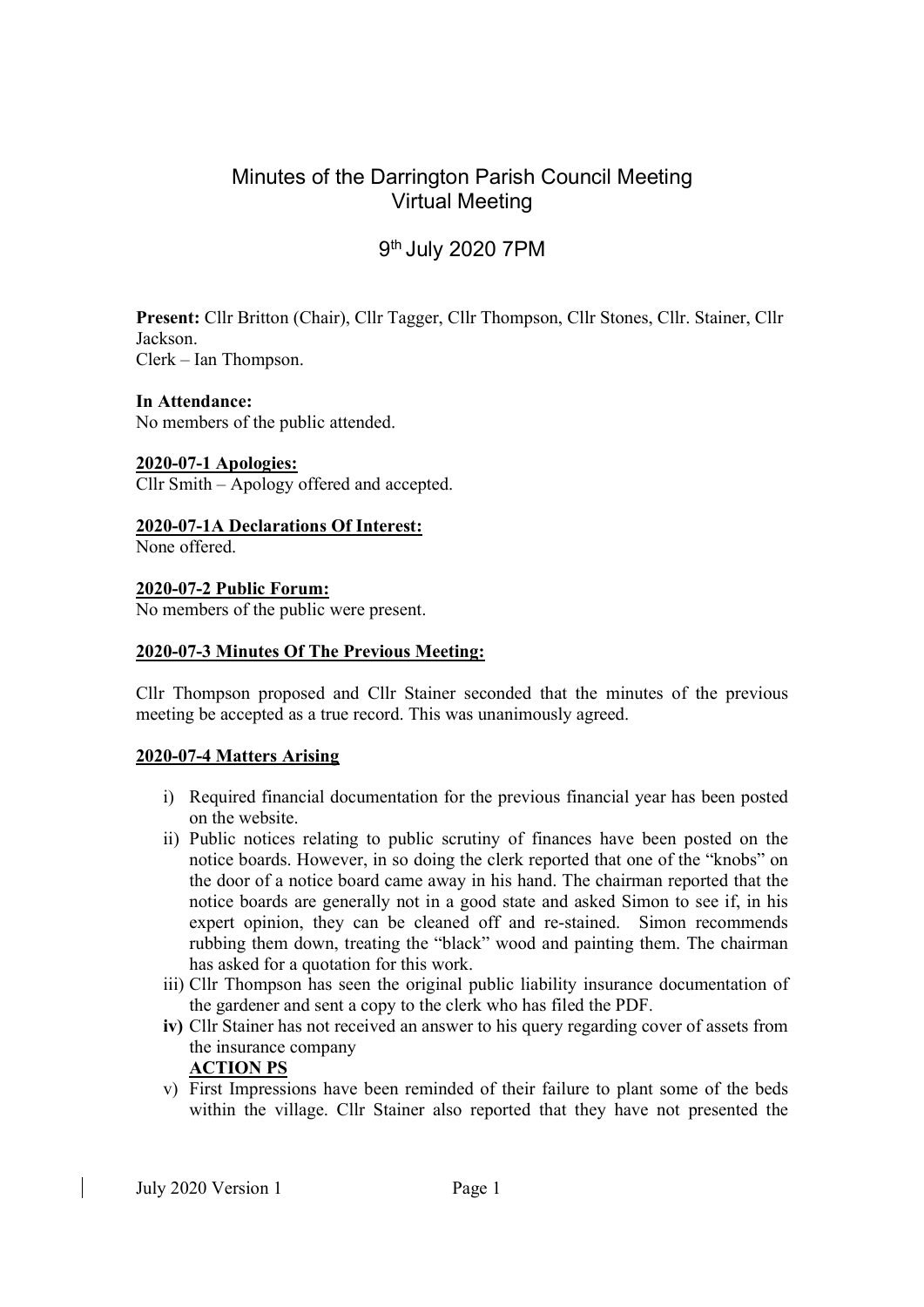# Minutes of the Darrington Parish Council Meeting Virtual Meeting

# 9<sup>th</sup> July 2020 7PM

Present: Cllr Britton (Chair), Cllr Tagger, Cllr Thompson, Cllr Stones, Cllr. Stainer, Cllr Jackson.

Clerk – Ian Thompson.

# In Attendance:

No members of the public attended.

## 2020-07-1 Apologies:

Cllr Smith – Apology offered and accepted.

2020-07-1A Declarations Of Interest: None offered.

2020-07-2 Public Forum:

No members of the public were present.

## 2020-07-3 Minutes Of The Previous Meeting:

Cllr Thompson proposed and Cllr Stainer seconded that the minutes of the previous meeting be accepted as a true record. This was unanimously agreed.

#### 2020-07-4 Matters Arising

- i) Required financial documentation for the previous financial year has been posted on the website.
- ii) Public notices relating to public scrutiny of finances have been posted on the notice boards. However, in so doing the clerk reported that one of the "knobs" on the door of a notice board came away in his hand. The chairman reported that the notice boards are generally not in a good state and asked Simon to see if, in his expert opinion, they can be cleaned off and re-stained. Simon recommends rubbing them down, treating the "black" wood and painting them. The chairman has asked for a quotation for this work.
- iii) Cllr Thompson has seen the original public liability insurance documentation of the gardener and sent a copy to the clerk who has filed the PDF.
- iv) Cllr Stainer has not received an answer to his query regarding cover of assets from the insurance company ACTION PS
- v) First Impressions have been reminded of their failure to plant some of the beds within the village. Cllr Stainer also reported that they have not presented the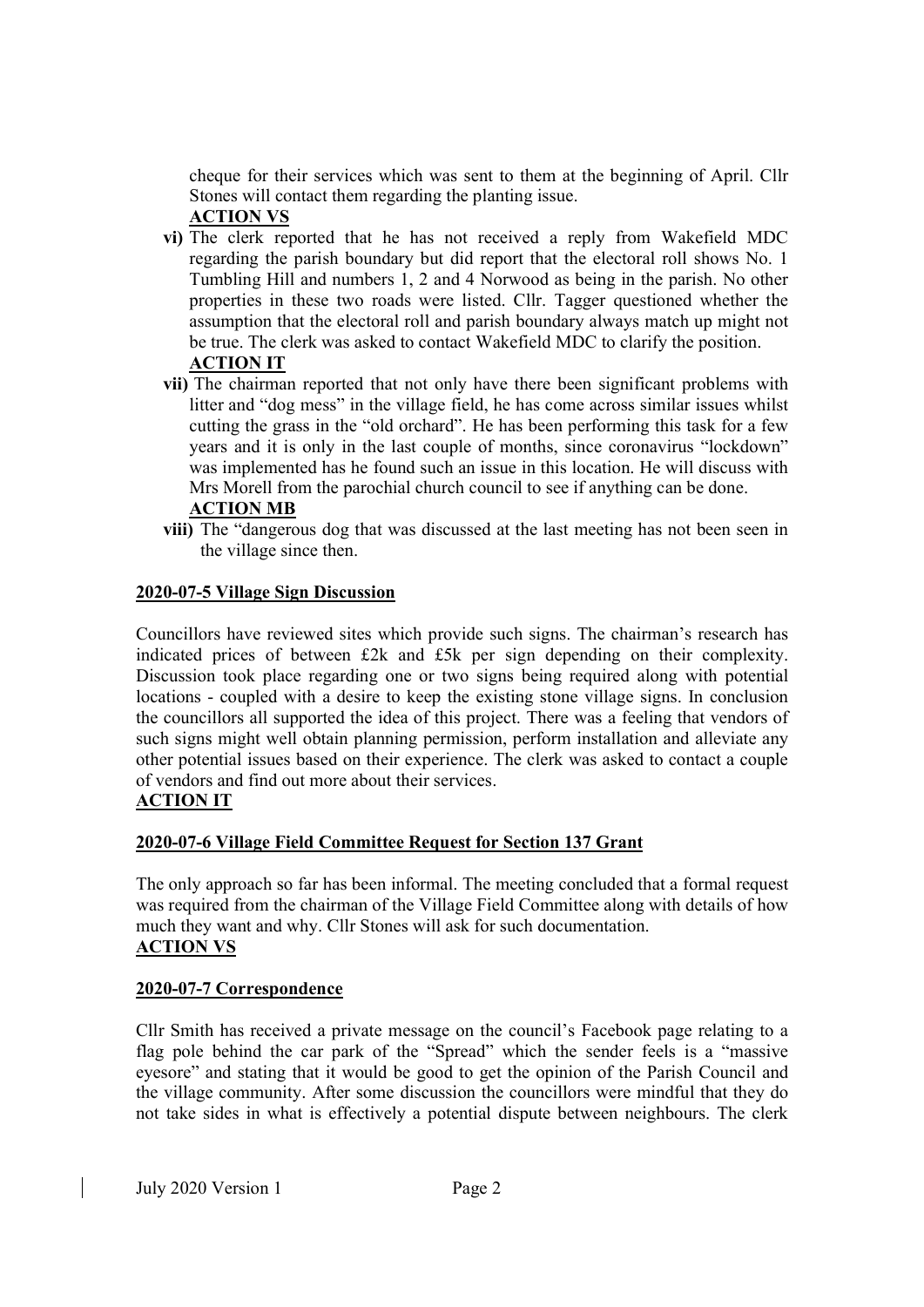cheque for their services which was sent to them at the beginning of April. Cllr Stones will contact them regarding the planting issue.

# ACTION VS

- vi) The clerk reported that he has not received a reply from Wakefield MDC regarding the parish boundary but did report that the electoral roll shows No. 1 Tumbling Hill and numbers 1, 2 and 4 Norwood as being in the parish. No other properties in these two roads were listed. Cllr. Tagger questioned whether the assumption that the electoral roll and parish boundary always match up might not be true. The clerk was asked to contact Wakefield MDC to clarify the position. ACTION IT
- vii) The chairman reported that not only have there been significant problems with litter and "dog mess" in the village field, he has come across similar issues whilst cutting the grass in the "old orchard". He has been performing this task for a few years and it is only in the last couple of months, since coronavirus "lockdown" was implemented has he found such an issue in this location. He will discuss with Mrs Morell from the parochial church council to see if anything can be done. ACTION MB
- viii) The "dangerous dog that was discussed at the last meeting has not been seen in the village since then.

## 2020-07-5 Village Sign Discussion

Councillors have reviewed sites which provide such signs. The chairman's research has indicated prices of between £2k and £5k per sign depending on their complexity. Discussion took place regarding one or two signs being required along with potential locations - coupled with a desire to keep the existing stone village signs. In conclusion the councillors all supported the idea of this project. There was a feeling that vendors of such signs might well obtain planning permission, perform installation and alleviate any other potential issues based on their experience. The clerk was asked to contact a couple of vendors and find out more about their services.

# ACTION IT

# 2020-07-6 Village Field Committee Request for Section 137 Grant

The only approach so far has been informal. The meeting concluded that a formal request was required from the chairman of the Village Field Committee along with details of how much they want and why. Cllr Stones will ask for such documentation. ACTION VS

#### 2020-07-7 Correspondence

Cllr Smith has received a private message on the council's Facebook page relating to a flag pole behind the car park of the "Spread" which the sender feels is a "massive eyesore" and stating that it would be good to get the opinion of the Parish Council and the village community. After some discussion the councillors were mindful that they do not take sides in what is effectively a potential dispute between neighbours. The clerk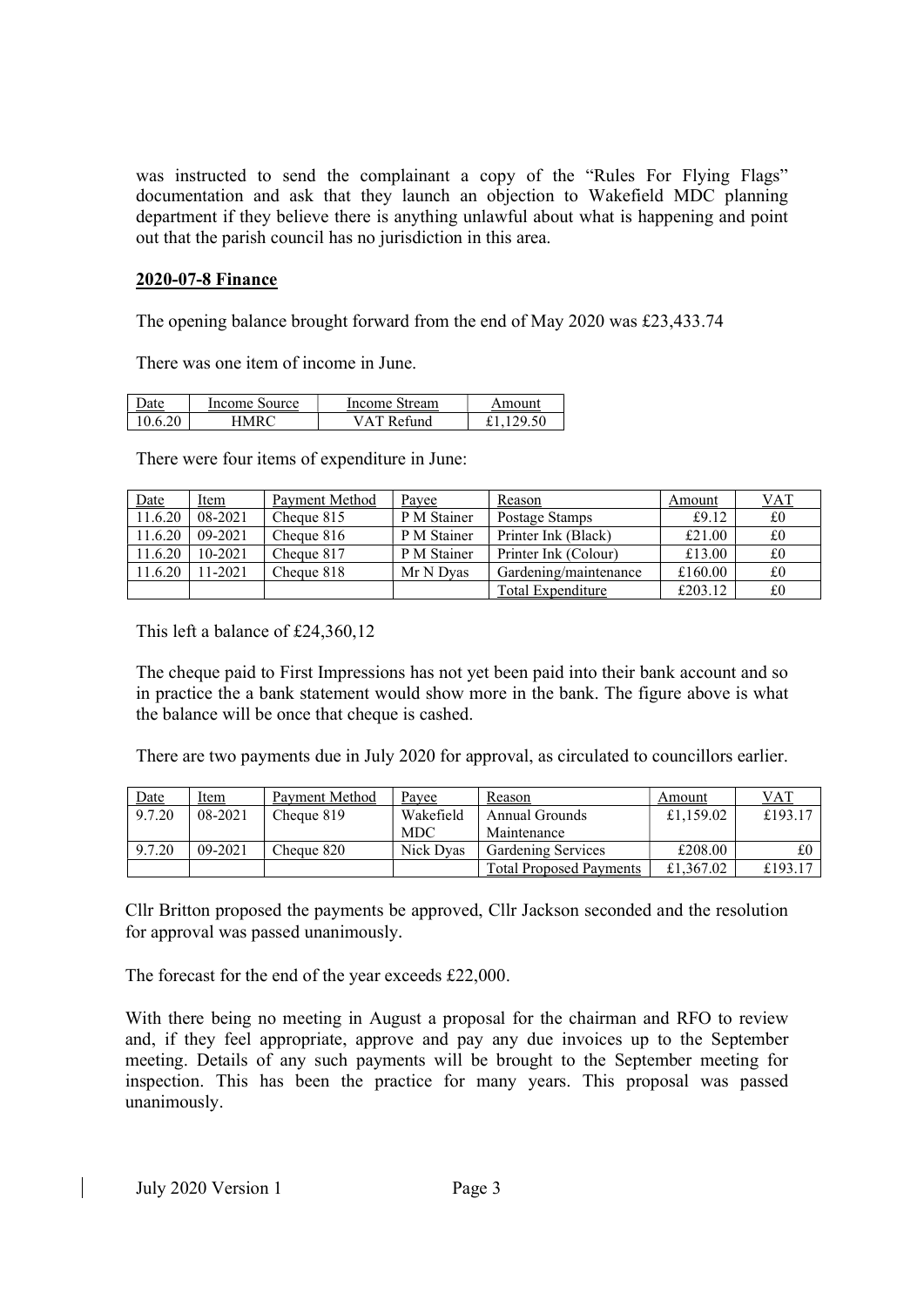was instructed to send the complainant a copy of the "Rules For Flying Flags" documentation and ask that they launch an objection to Wakefield MDC planning department if they believe there is anything unlawful about what is happening and point out that the parish council has no jurisdiction in this area.

#### 2020-07-8 Finance

The opening balance brought forward from the end of May 2020 was £23,433.74

There was one item of income in June.

| Jate | Income Source | Income Stream | Amount |
|------|---------------|---------------|--------|
|      | ANDC          | VAT Refund    | 29.50  |

There were four items of expenditure in June:

| Date    | Item      | Payment Method | Payee       | Reason                | Amount  | <b>VAT</b> |
|---------|-----------|----------------|-------------|-----------------------|---------|------------|
| 11.6.20 | 08-2021   | Cheque 815     | P M Stainer | Postage Stamps        | £9.12   | £0         |
| 11.6.20 | 09-2021   | Cheque 816     | P M Stainer | Printer Ink (Black)   | £21.00  | £0         |
| 11.6.20 | 10-2021   | Cheque 817     | P M Stainer | Printer Ink (Colour)  | £13.00  | £0         |
| 11.6.20 | $11-2021$ | Cheque 818     | Mr N Dvas   | Gardening/maintenance | £160.00 | £0         |
|         |           |                |             | Total Expenditure     | £203.12 | £0         |

This left a balance of £24,360,12

The cheque paid to First Impressions has not yet been paid into their bank account and so in practice the a bank statement would show more in the bank. The figure above is what the balance will be once that cheque is cashed.

There are two payments due in July 2020 for approval, as circulated to councillors earlier.

| <u>Date</u> | Item    | Payment Method | Payee      | Reason                         | Amount    | <b>VAT</b> |
|-------------|---------|----------------|------------|--------------------------------|-----------|------------|
| 9.7.20      | 08-2021 | Cheque 819     | Wakefield  | Annual Grounds                 | £1,159.02 | £193.17    |
|             |         |                | <b>MDC</b> | Maintenance                    |           |            |
| 9.7.20      | 09-2021 | Cheque 820     | Nick Dyas  | <b>Gardening Services</b>      | £208.00   |            |
|             |         |                |            | <b>Total Proposed Payments</b> | £1,367.02 | £193.17    |

Cllr Britton proposed the payments be approved, Cllr Jackson seconded and the resolution for approval was passed unanimously.

The forecast for the end of the year exceeds £22,000.

With there being no meeting in August a proposal for the chairman and RFO to review and, if they feel appropriate, approve and pay any due invoices up to the September meeting. Details of any such payments will be brought to the September meeting for inspection. This has been the practice for many years. This proposal was passed unanimously.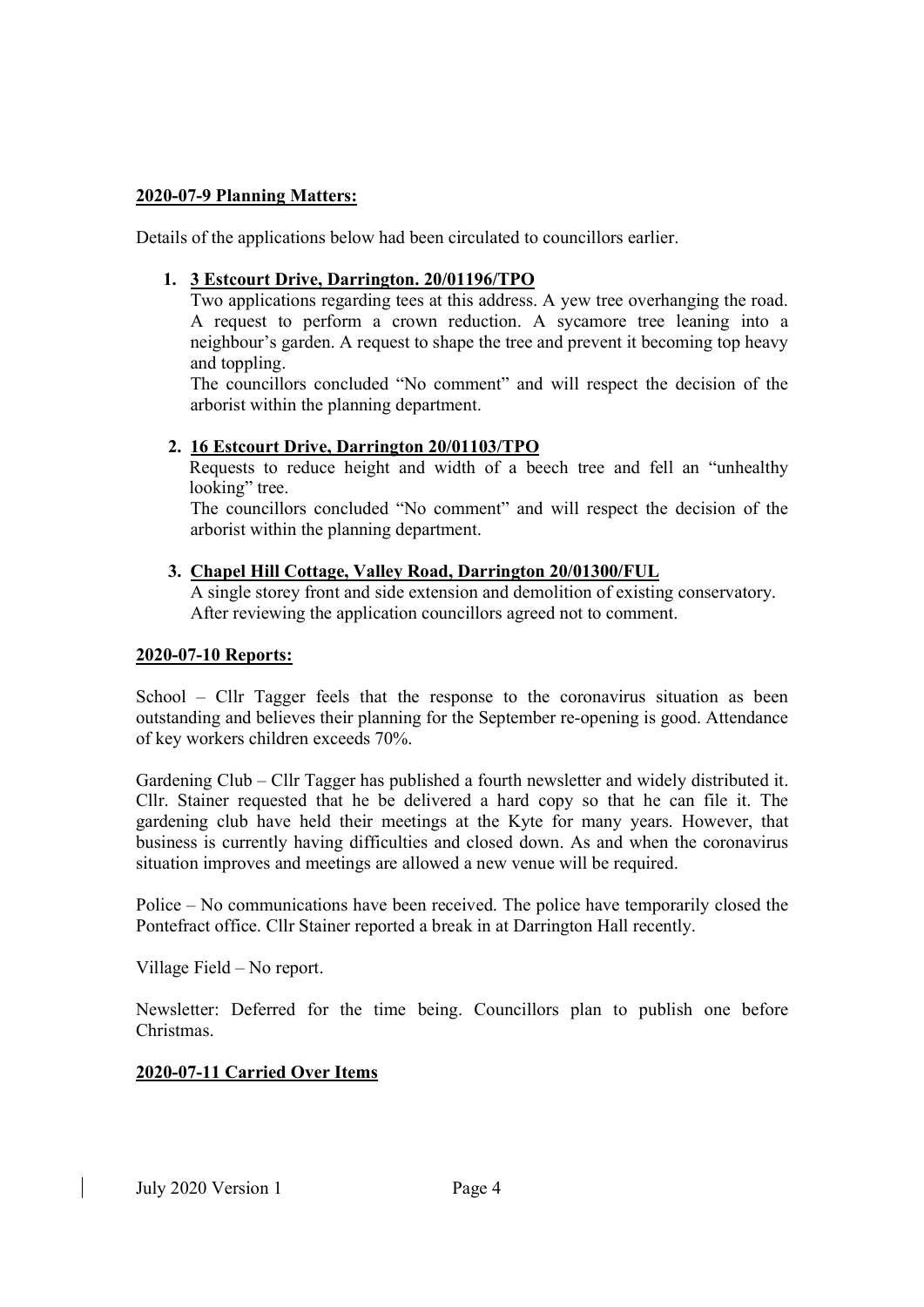## 2020-07-9 Planning Matters:

Details of the applications below had been circulated to councillors earlier.

# 1. 3 Estcourt Drive, Darrington. 20/01196/TPO

Two applications regarding tees at this address. A yew tree overhanging the road. A request to perform a crown reduction. A sycamore tree leaning into a neighbour's garden. A request to shape the tree and prevent it becoming top heavy and toppling.

The councillors concluded "No comment" and will respect the decision of the arborist within the planning department.

## 2. 16 Estcourt Drive, Darrington 20/01103/TPO

Requests to reduce height and width of a beech tree and fell an "unhealthy looking" tree.

The councillors concluded "No comment" and will respect the decision of the arborist within the planning department.

## 3. Chapel Hill Cottage, Valley Road, Darrington 20/01300/FUL

A single storey front and side extension and demolition of existing conservatory. After reviewing the application councillors agreed not to comment.

#### 2020-07-10 Reports:

School – Cllr Tagger feels that the response to the coronavirus situation as been outstanding and believes their planning for the September re-opening is good. Attendance of key workers children exceeds 70%.

Gardening Club – Cllr Tagger has published a fourth newsletter and widely distributed it. Cllr. Stainer requested that he be delivered a hard copy so that he can file it. The gardening club have held their meetings at the Kyte for many years. However, that business is currently having difficulties and closed down. As and when the coronavirus situation improves and meetings are allowed a new venue will be required.

Police – No communications have been received. The police have temporarily closed the Pontefract office. Cllr Stainer reported a break in at Darrington Hall recently.

Village Field – No report.

Newsletter: Deferred for the time being. Councillors plan to publish one before Christmas.

# 2020-07-11 Carried Over Items